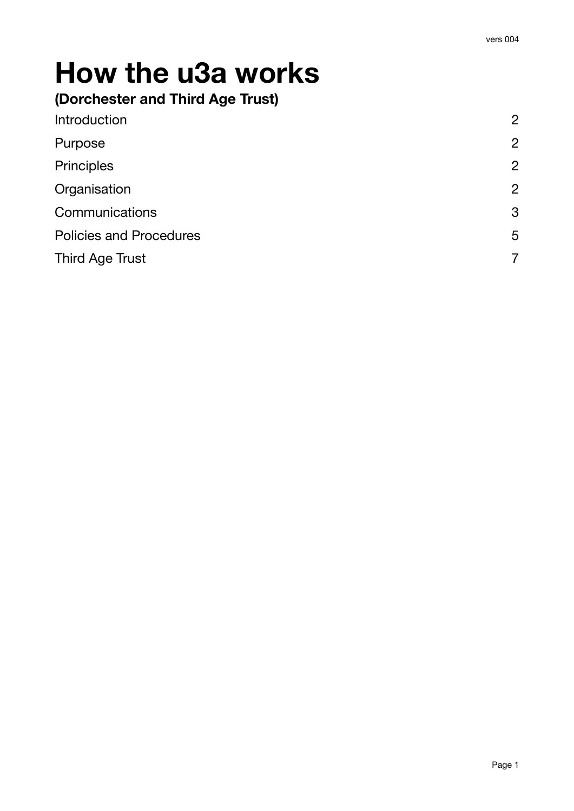# **How the u3a works**

# **(Dorchester and Third Age Trust)**

| Introduction                   | $\overline{2}$ |
|--------------------------------|----------------|
| Purpose                        | $\overline{2}$ |
| Principles                     | $\overline{2}$ |
| Organisation                   | $\overline{2}$ |
| Communications                 | 3              |
| <b>Policies and Procedures</b> | 5              |
| <b>Third Age Trust</b>         |                |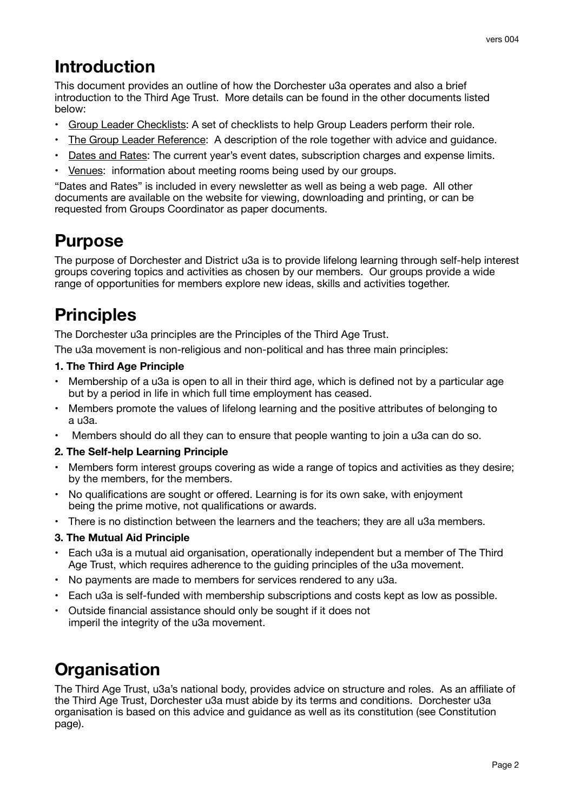# <span id="page-1-0"></span>**Introduction**

This document provides an outline of how the Dorchester u3a operates and also a brief introduction to the Third Age Trust. More details can be found in the other documents listed below:

- Group Leader Checklists: A set of checklists to help Group Leaders perform their role.
- The Group Leader Reference: A description of the role together with advice and guidance.
- Dates and Rates: The current year's event dates, subscription charges and expense limits.
- Venues: information about meeting rooms being used by our groups.

"Dates and Rates" is included in every newsletter as well as being a web page. All other documents are available on the website for viewing, downloading and printing, or can be requested from Groups Coordinator as paper documents.

# <span id="page-1-1"></span>**Purpose**

The purpose of Dorchester and District u3a is to provide lifelong learning through self-help interest groups covering topics and activities as chosen by our members. Our groups provide a wide range of opportunities for members explore new ideas, skills and activities together.

# <span id="page-1-2"></span>**Principles**

The Dorchester u3a principles are the Principles of the Third Age Trust.

The u3a movement is non-religious and non-political and has three main principles:

#### **1. The Third Age Principle**

- Membership of a u3a is open to all in their third age, which is defined not by a particular age but by a period in life in which full time employment has ceased.
- Members promote the values of lifelong learning and the positive attributes of belonging to a u3a.
- Members should do all they can to ensure that people wanting to join a u3a can do so.

#### **2. The Self-help Learning Principle**

- Members form interest groups covering as wide a range of topics and activities as they desire; by the members, for the members.
- No qualifications are sought or offered. Learning is for its own sake, with enjoyment being the prime motive, not qualifications or awards.
- There is no distinction between the learners and the teachers; they are all u3a members.

#### **3. The Mutual Aid Principle**

- Each u3a is a mutual aid organisation, operationally independent but a member of The Third Age Trust, which requires adherence to the guiding principles of the u3a movement.
- No payments are made to members for services rendered to any u3a.
- Each u3a is self-funded with membership subscriptions and costs kept as low as possible.
- Outside financial assistance should only be sought if it does not imperil the integrity of the u3a movement.

# <span id="page-1-3"></span>**Organisation**

The Third Age Trust, u3a's national body, provides advice on structure and roles. As an affiliate of the Third Age Trust, Dorchester u3a must abide by its terms and conditions. Dorchester u3a organisation is based on this advice and guidance as well as its constitution (see Constitution page).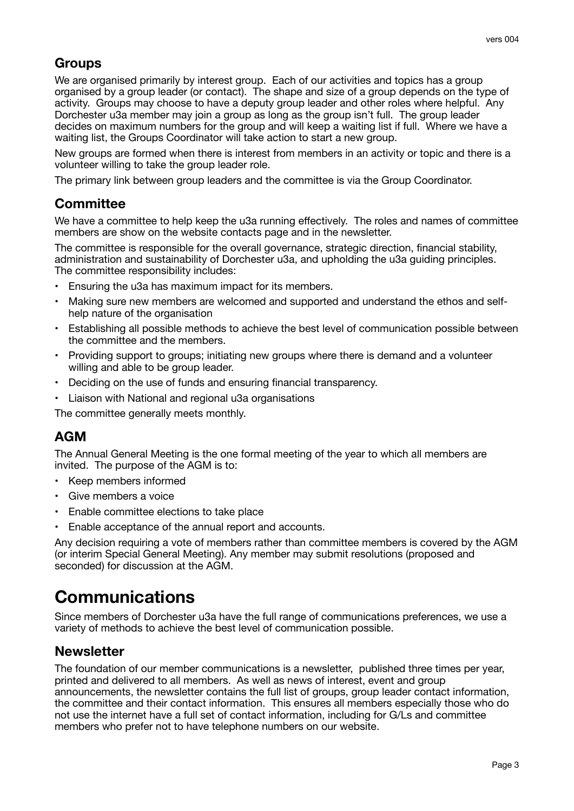# **Groups**

We are organised primarily by interest group. Each of our activities and topics has a group organised by a group leader (or contact). The shape and size of a group depends on the type of activity. Groups may choose to have a deputy group leader and other roles where helpful. Any Dorchester u3a member may join a group as long as the group isn't full. The group leader decides on maximum numbers for the group and will keep a waiting list if full. Where we have a waiting list, the Groups Coordinator will take action to start a new group.

New groups are formed when there is interest from members in an activity or topic and there is a volunteer willing to take the group leader role.

The primary link between group leaders and the committee is via the Group Coordinator.

## **Committee**

We have a committee to help keep the u3a running effectively. The roles and names of committee members are show on the website contacts page and in the newsletter.

The committee is responsible for the overall governance, strategic direction, financial stability, administration and sustainability of Dorchester u3a, and upholding the u3a guiding principles. The committee responsibility includes:

- Ensuring the u3a has maximum impact for its members.
- Making sure new members are welcomed and supported and understand the ethos and selfhelp nature of the organisation
- Establishing all possible methods to achieve the best level of communication possible between the committee and the members.
- Providing support to groups; initiating new groups where there is demand and a volunteer willing and able to be group leader.
- Deciding on the use of funds and ensuring financial transparency.
- Liaison with National and regional u3a organisations

The committee generally meets monthly.

# **AGM**

The Annual General Meeting is the one formal meeting of the year to which all members are invited. The purpose of the AGM is to:

- Keep members informed
- Give members a voice
- Enable committee elections to take place
- Enable acceptance of the annual report and accounts.

Any decision requiring a vote of members rather than committee members is covered by the AGM (or interim Special General Meeting). Any member may submit resolutions (proposed and seconded) for discussion at the AGM.

# <span id="page-2-0"></span>**Communications**

Since members of Dorchester u3a have the full range of communications preferences, we use a variety of methods to achieve the best level of communication possible.

### **Newsletter**

The foundation of our member communications is a newsletter, published three times per year, printed and delivered to all members. As well as news of interest, event and group announcements, the newsletter contains the full list of groups, group leader contact information, the committee and their contact information. This ensures all members especially those who do not use the internet have a full set of contact information, including for G/Ls and committee members who prefer not to have telephone numbers on our website.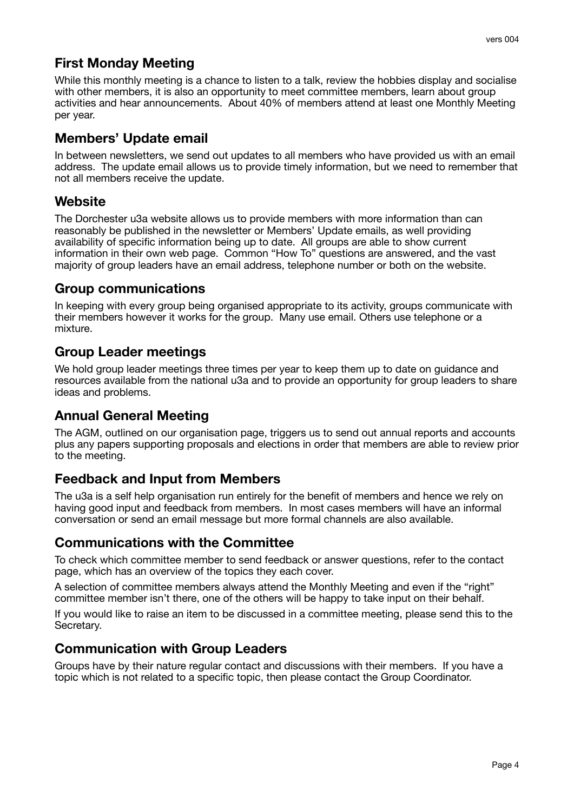# **First Monday Meeting**

While this monthly meeting is a chance to listen to a talk, review the hobbies display and socialise with other members, it is also an opportunity to meet committee members, learn about group activities and hear announcements. About 40% of members attend at least one Monthly Meeting per year.

### **Members' Update email**

In between newsletters, we send out updates to all members who have provided us with an email address. The update email allows us to provide timely information, but we need to remember that not all members receive the update.

## **Website**

The Dorchester u3a website allows us to provide members with more information than can reasonably be published in the newsletter or Members' Update emails, as well providing availability of specific information being up to date. All groups are able to show current information in their own web page. Common "How To" questions are answered, and the vast majority of group leaders have an email address, telephone number or both on the website.

### **Group communications**

In keeping with every group being organised appropriate to its activity, groups communicate with their members however it works for the group. Many use email. Others use telephone or a mixture.

### **Group Leader meetings**

We hold group leader meetings three times per year to keep them up to date on guidance and resources available from the national u3a and to provide an opportunity for group leaders to share ideas and problems.

# **Annual General Meeting**

The AGM, outlined on our organisation page, triggers us to send out annual reports and accounts plus any papers supporting proposals and elections in order that members are able to review prior to the meeting.

### **Feedback and Input from Members**

The u3a is a self help organisation run entirely for the benefit of members and hence we rely on having good input and feedback from members. In most cases members will have an informal conversation or send an email message but more formal channels are also available.

#### **Communications with the Committee**

To check which committee member to send feedback or answer questions, refer to the contact page, which has an overview of the topics they each cover.

A selection of committee members always attend the Monthly Meeting and even if the "right" committee member isn't there, one of the others will be happy to take input on their behalf.

If you would like to raise an item to be discussed in a committee meeting, please send this to the Secretary.

### **Communication with Group Leaders**

Groups have by their nature regular contact and discussions with their members. If you have a topic which is not related to a specific topic, then please contact the Group Coordinator.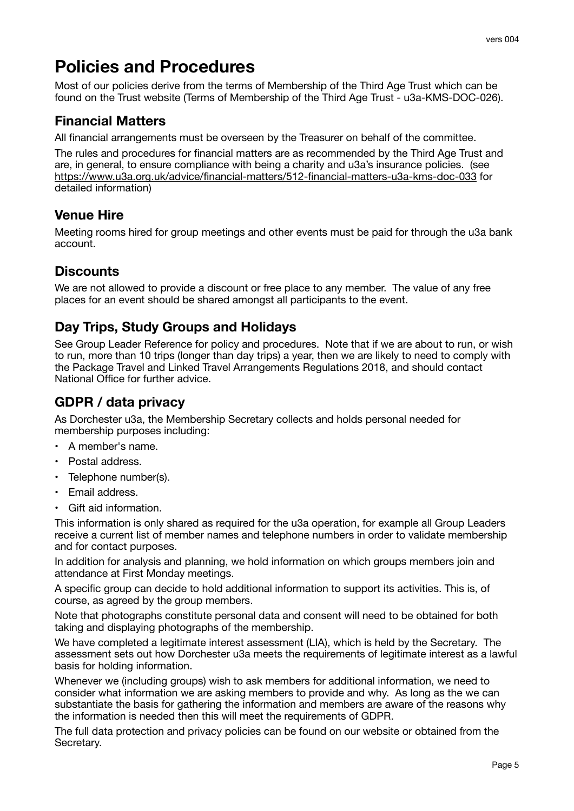# <span id="page-4-0"></span>**Policies and Procedures**

Most of our policies derive from the terms of Membership of the Third Age Trust which can be found on the Trust website (Terms of Membership of the Third Age Trust - u3a-KMS-DOC-026).

## **Financial Matters**

All financial arrangements must be overseen by the Treasurer on behalf of the committee.

The rules and procedures for financial matters are as recommended by the Third Age Trust and are, in general, to ensure compliance with being a charity and u3a's insurance policies. (see <https://www.u3a.org.uk/advice/financial-matters/512-financial-matters-u3a-kms-doc-033>for detailed information)

# **Venue Hire**

Meeting rooms hired for group meetings and other events must be paid for through the u3a bank account.

# **Discounts**

We are not allowed to provide a discount or free place to any member. The value of any free places for an event should be shared amongst all participants to the event.

# **Day Trips, Study Groups and Holidays**

See Group Leader Reference for policy and procedures. Note that if we are about to run, or wish to run, more than 10 trips (longer than day trips) a year, then we are likely to need to comply with the Package Travel and Linked Travel Arrangements Regulations 2018, and should contact National Office for further advice.

# **GDPR / data privacy**

As Dorchester u3a, the Membership Secretary collects and holds personal needed for membership purposes including:

- A member's name.
- Postal address.
- Telephone number(s).
- Email address.
- Gift aid information.

This information is only shared as required for the u3a operation, for example all Group Leaders receive a current list of member names and telephone numbers in order to validate membership and for contact purposes.

In addition for analysis and planning, we hold information on which groups members join and attendance at First Monday meetings.

A specific group can decide to hold additional information to support its activities. This is, of course, as agreed by the group members.

Note that photographs constitute personal data and consent will need to be obtained for both taking and displaying photographs of the membership.

We have completed a legitimate interest assessment (LIA), which is held by the Secretary. The assessment sets out how Dorchester u3a meets the requirements of legitimate interest as a lawful basis for holding information.

Whenever we (including groups) wish to ask members for additional information, we need to consider what information we are asking members to provide and why. As long as the we can substantiate the basis for gathering the information and members are aware of the reasons why the information is needed then this will meet the requirements of GDPR.

The full data protection and privacy policies can be found on our website or obtained from the Secretary.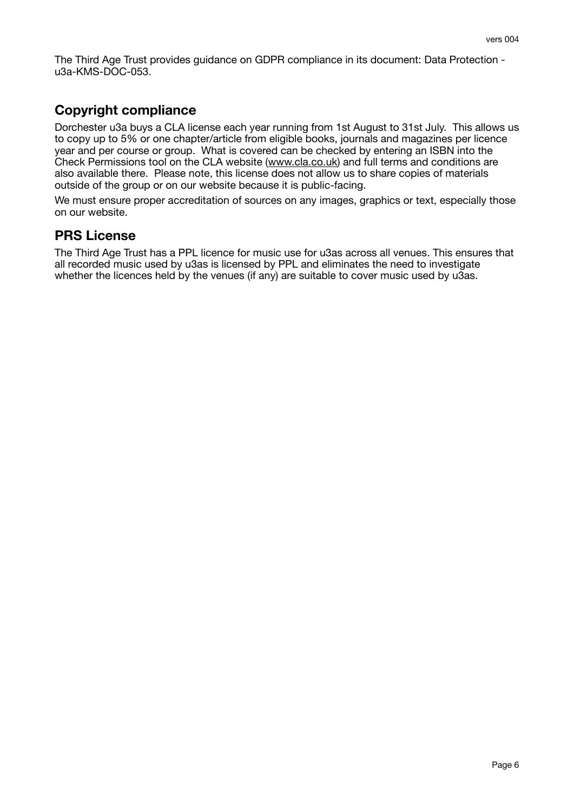The Third Age Trust provides guidance on GDPR compliance in its document: Data Protection u3a-KMS-DOC-053.

# **Copyright compliance**

Dorchester u3a buys a CLA license each year running from 1st August to 31st July. This allows us to copy up to 5% or one chapter/article from eligible books, journals and magazines per licence year and per course or group. What is covered can be checked by entering an ISBN into the Check Permissions tool on the CLA website [\(www.cla.co.uk](http://www.cla.co.uk)) and full terms and conditions are also available there. Please note, this license does not allow us to share copies of materials outside of the group or on our website because it is public-facing.

We must ensure proper accreditation of sources on any images, graphics or text, especially those on our website.

#### **PRS License**

The Third Age Trust has a PPL licence for music use for u3as across all venues. This ensures that all recorded music used by u3as is licensed by PPL and eliminates the need to investigate whether the licences held by the venues (if any) are suitable to cover music used by u3as.